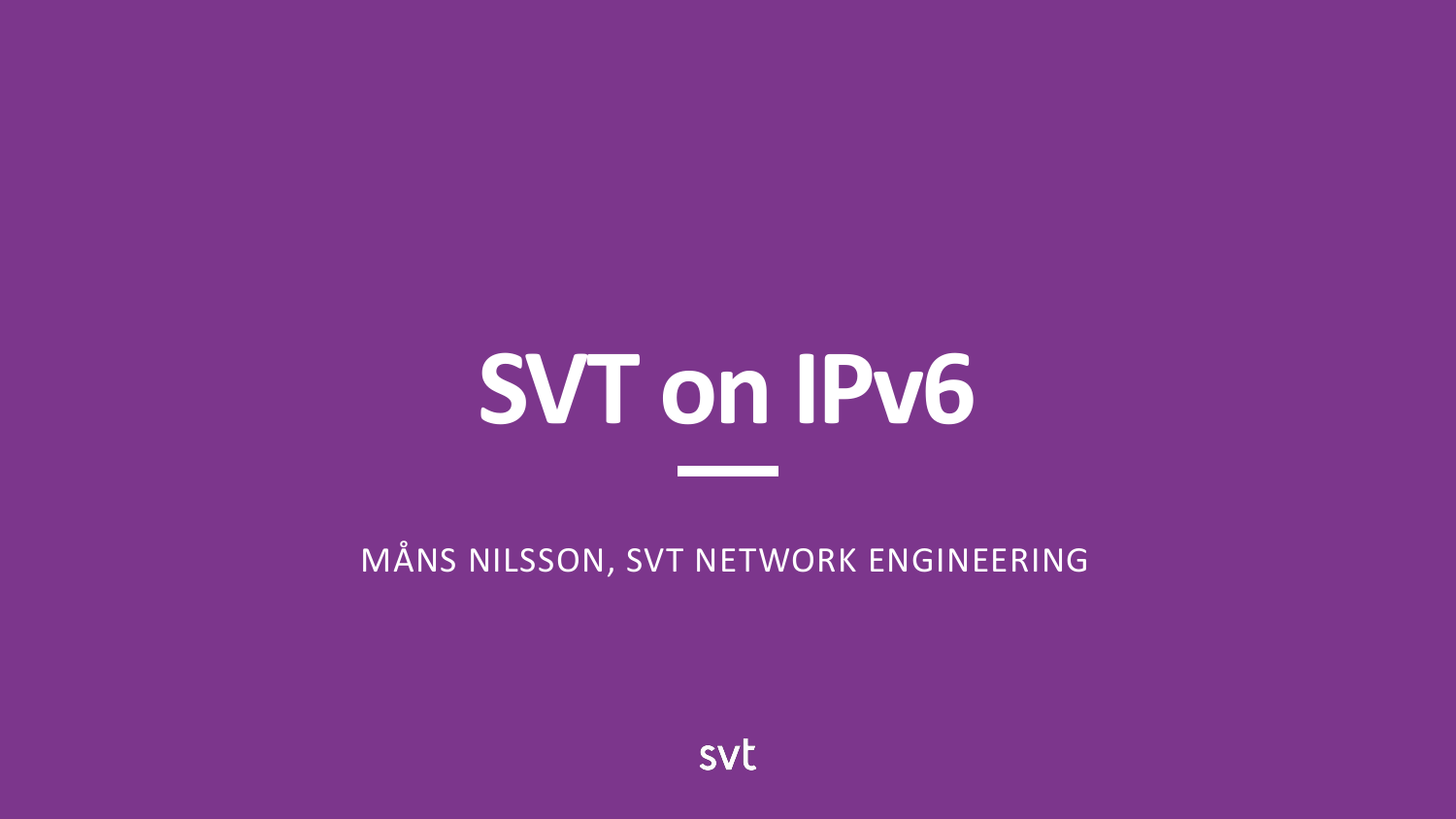# **SVT on IPv6**

MÅNS NILSSON, SVT NETWORK ENGINEERING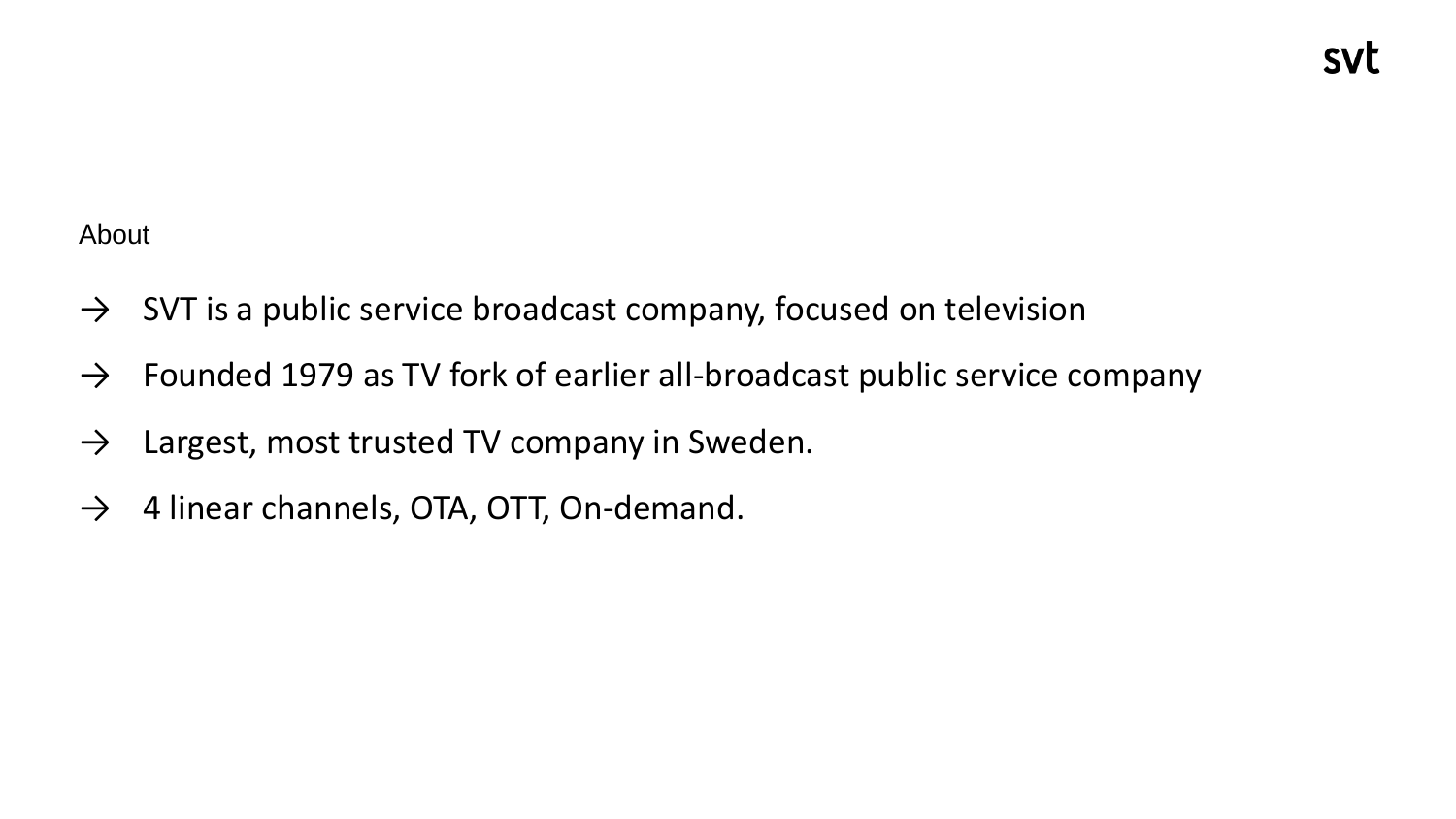About

- $\rightarrow$  SVT is a public service broadcast company, focused on television
- $\rightarrow$  Founded 1979 as TV fork of earlier all-broadcast public service company
- $\rightarrow$  Largest, most trusted TV company in Sweden.
- $\rightarrow$  4 linear channels, OTA, OTT, On-demand.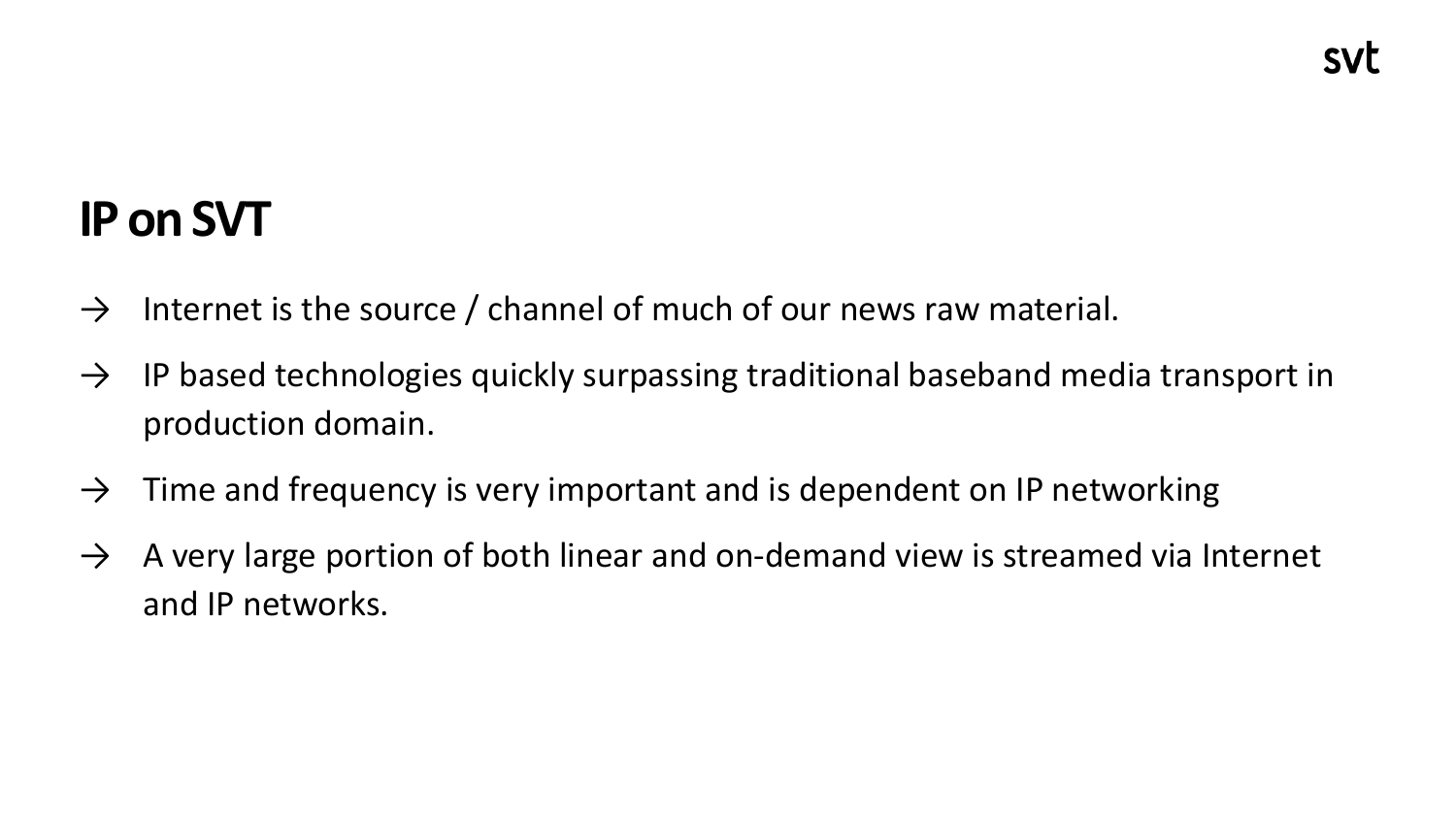## **IP on SVT**

- $\rightarrow$  Internet is the source / channel of much of our news raw material.
- $\rightarrow$  IP based technologies quickly surpassing traditional baseband media transport in production domain.
- $\rightarrow$  Time and frequency is very important and is dependent on IP networking
- $\rightarrow$  A very large portion of both linear and on-demand view is streamed via Internet and IP networks.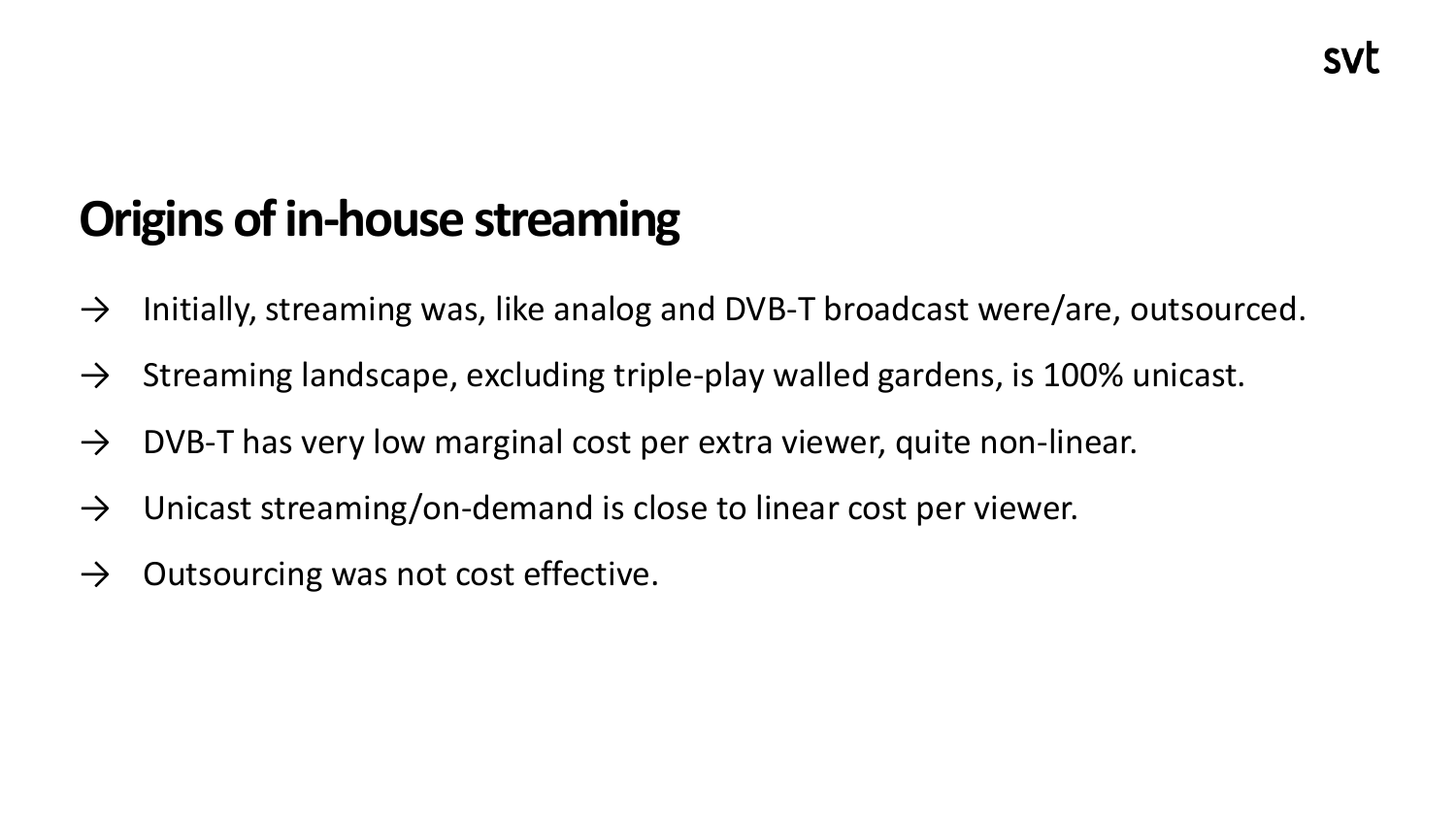## **Origins of in-house streaming**

- $\rightarrow$  Initially, streaming was, like analog and DVB-T broadcast were/are, outsourced.
- $\rightarrow$  Streaming landscape, excluding triple-play walled gardens, is 100% unicast.
- $\rightarrow$  DVB-T has very low marginal cost per extra viewer, quite non-linear.
- $\rightarrow$  Unicast streaming/on-demand is close to linear cost per viewer.
- $\rightarrow$  Outsourcing was not cost effective.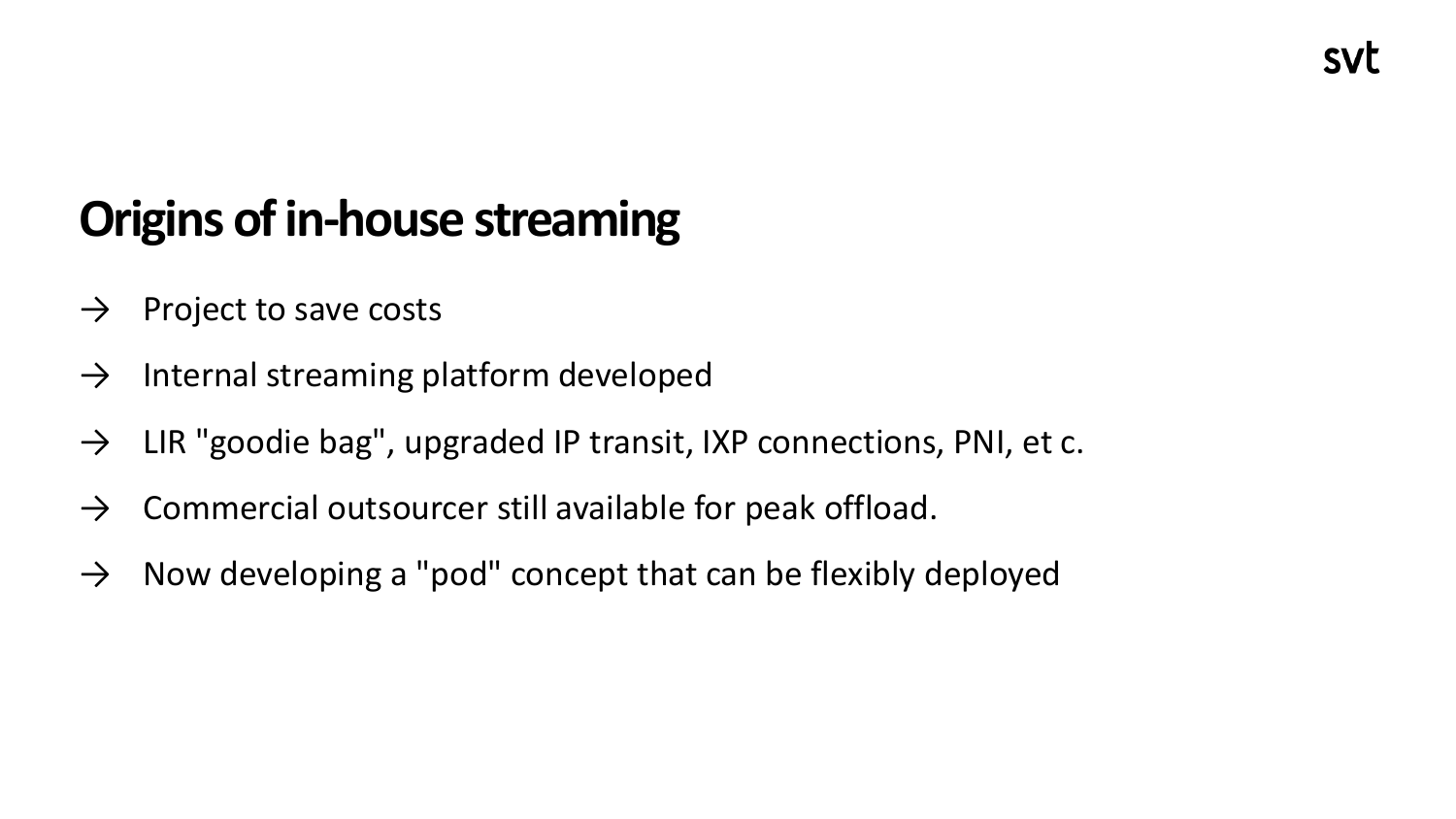## **Origins of in-house streaming**

- $\rightarrow$  Project to save costs
- $\rightarrow$  Internal streaming platform developed
- $\rightarrow$  LIR "goodie bag", upgraded IP transit, IXP connections, PNI, et c.
- $\rightarrow$  Commercial outsourcer still available for peak offload.
- $\rightarrow$  Now developing a "pod" concept that can be flexibly deployed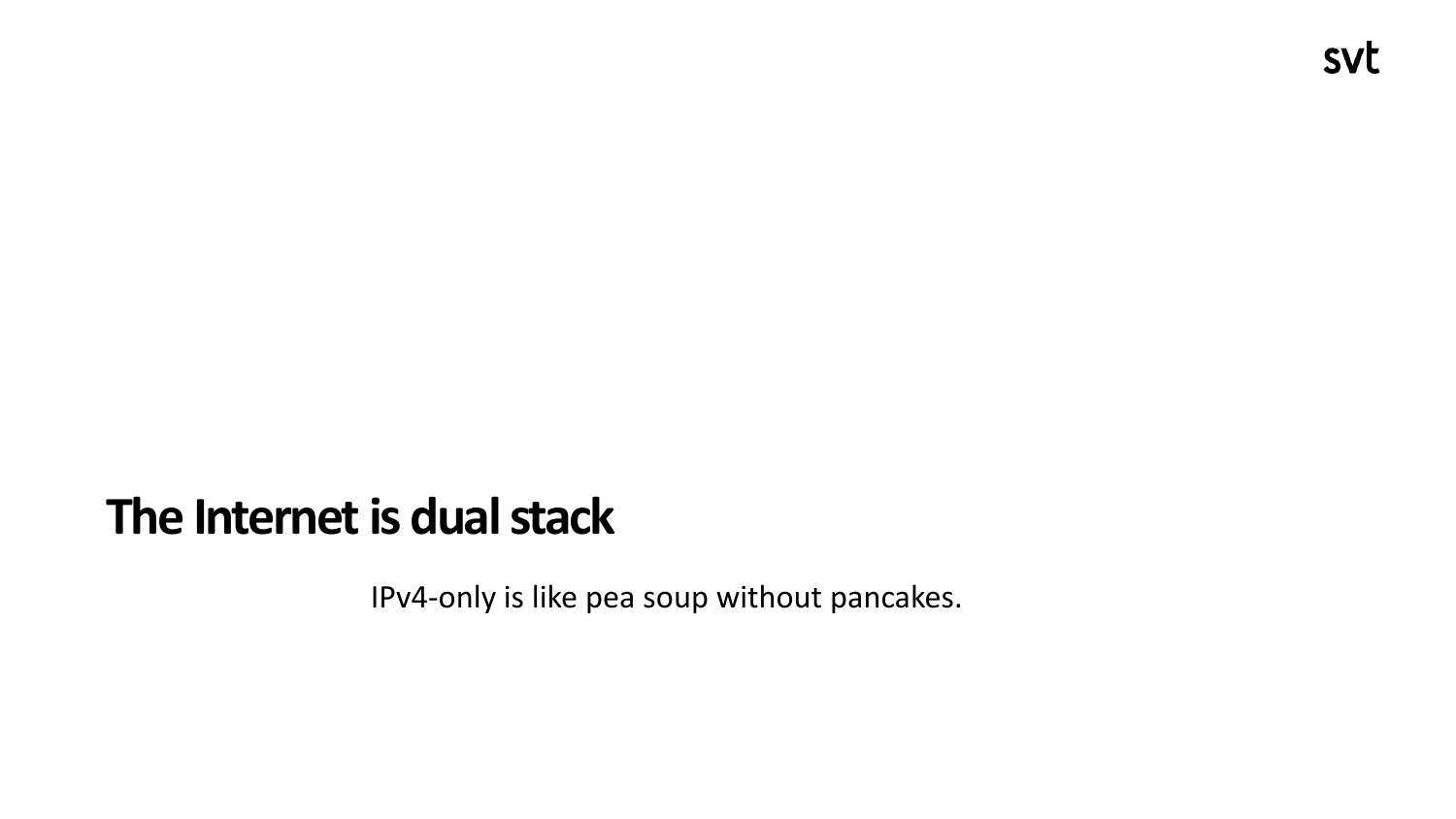#### **The Internet is dual stack**

IPv4-only is like pea soup without pancakes.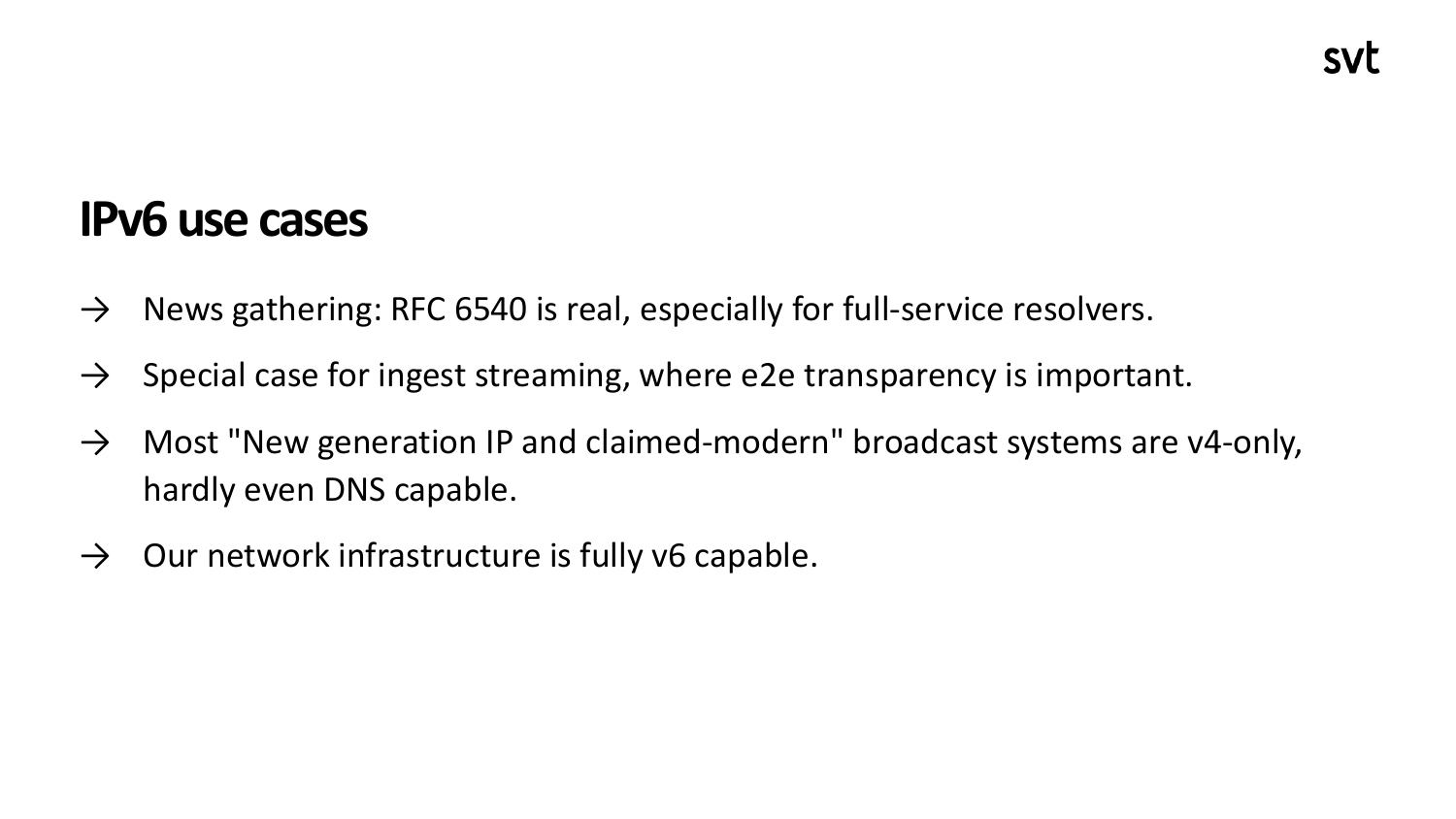#### **IPv6 use cases**

- $\rightarrow$  News gathering: RFC 6540 is real, especially for full-service resolvers.
- $\rightarrow$  Special case for ingest streaming, where e2e transparency is important.
- $\rightarrow$  Most "New generation IP and claimed-modern" broadcast systems are v4-only, hardly even DNS capable.
- $\rightarrow$  Our network infrastructure is fully v6 capable.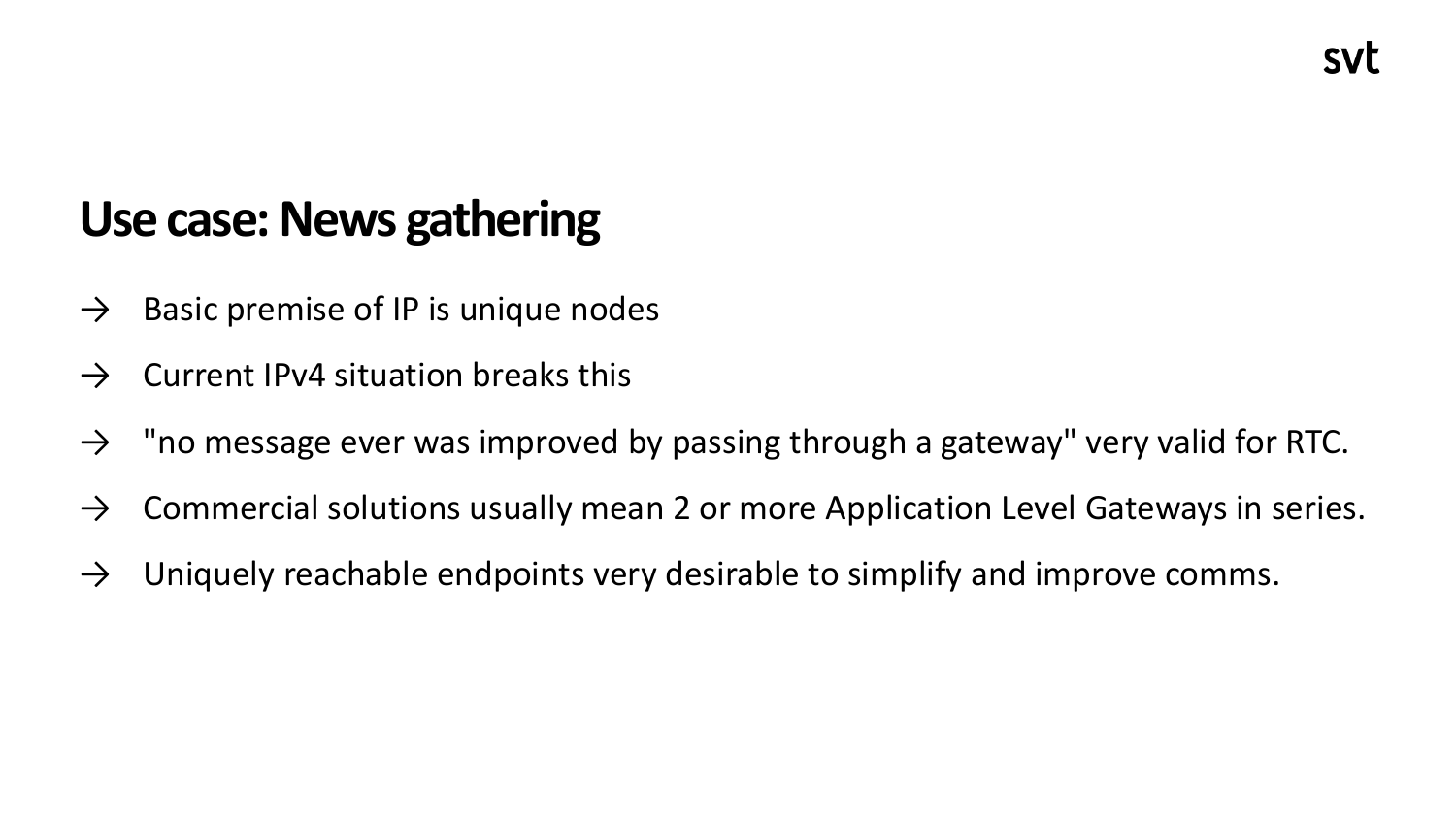#### **Use case: News gathering**

- $\rightarrow$  Basic premise of IP is unique nodes
- $\rightarrow$  Current IPv4 situation breaks this
- $\rightarrow$  "no message ever was improved by passing through a gateway" very valid for RTC.
- $\rightarrow$  Commercial solutions usually mean 2 or more Application Level Gateways in series.
- $\rightarrow$  Uniquely reachable endpoints very desirable to simplify and improve comms.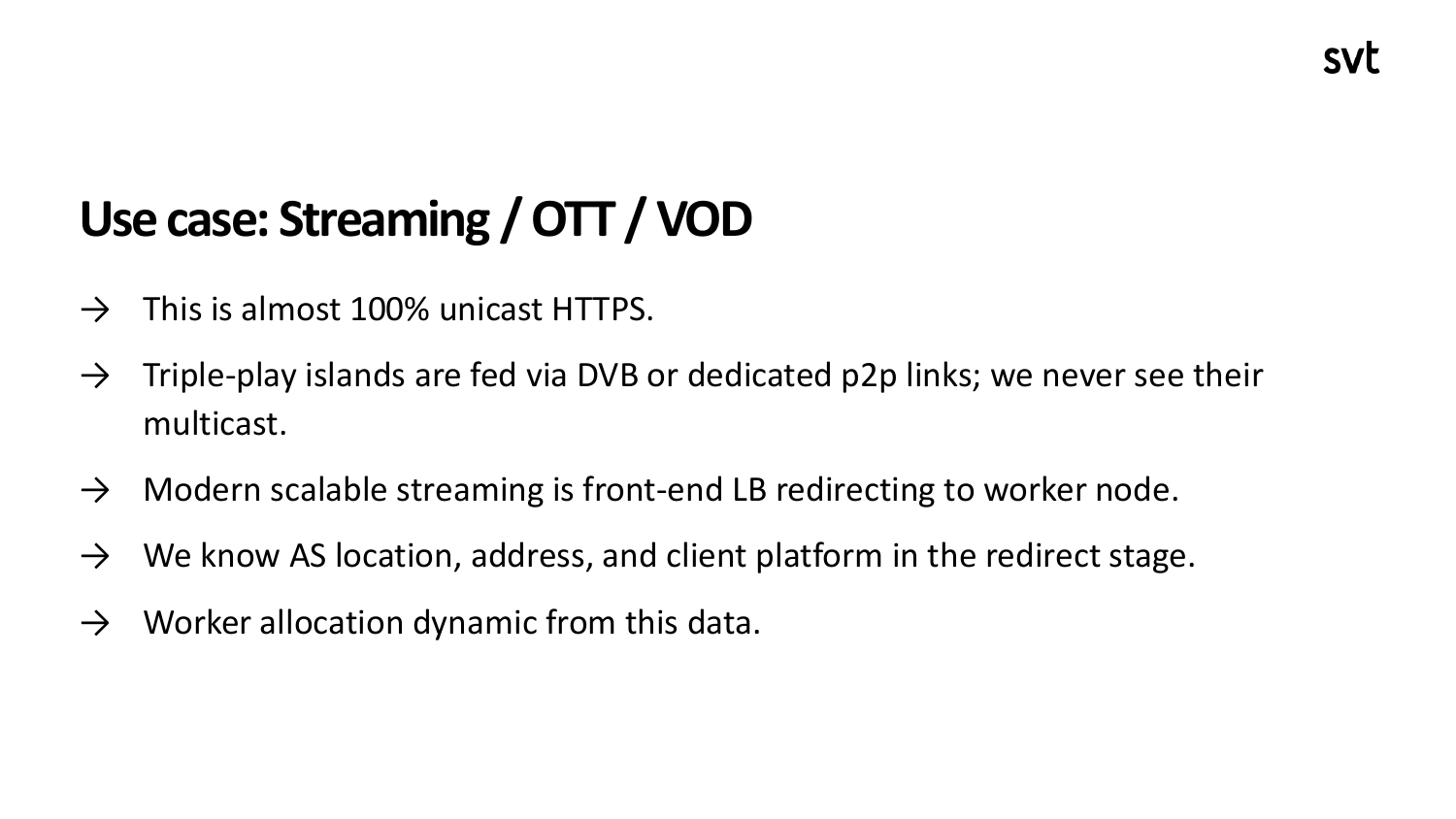## **Use case: Streaming / OTT / VOD**

- $\rightarrow$  This is almost 100% unicast HTTPS.
- $\rightarrow$  Triple-play islands are fed via DVB or dedicated p2p links; we never see their multicast.
- $\rightarrow$  Modern scalable streaming is front-end LB redirecting to worker node.
- $\rightarrow$  We know AS location, address, and client platform in the redirect stage.
- $\rightarrow$  Worker allocation dynamic from this data.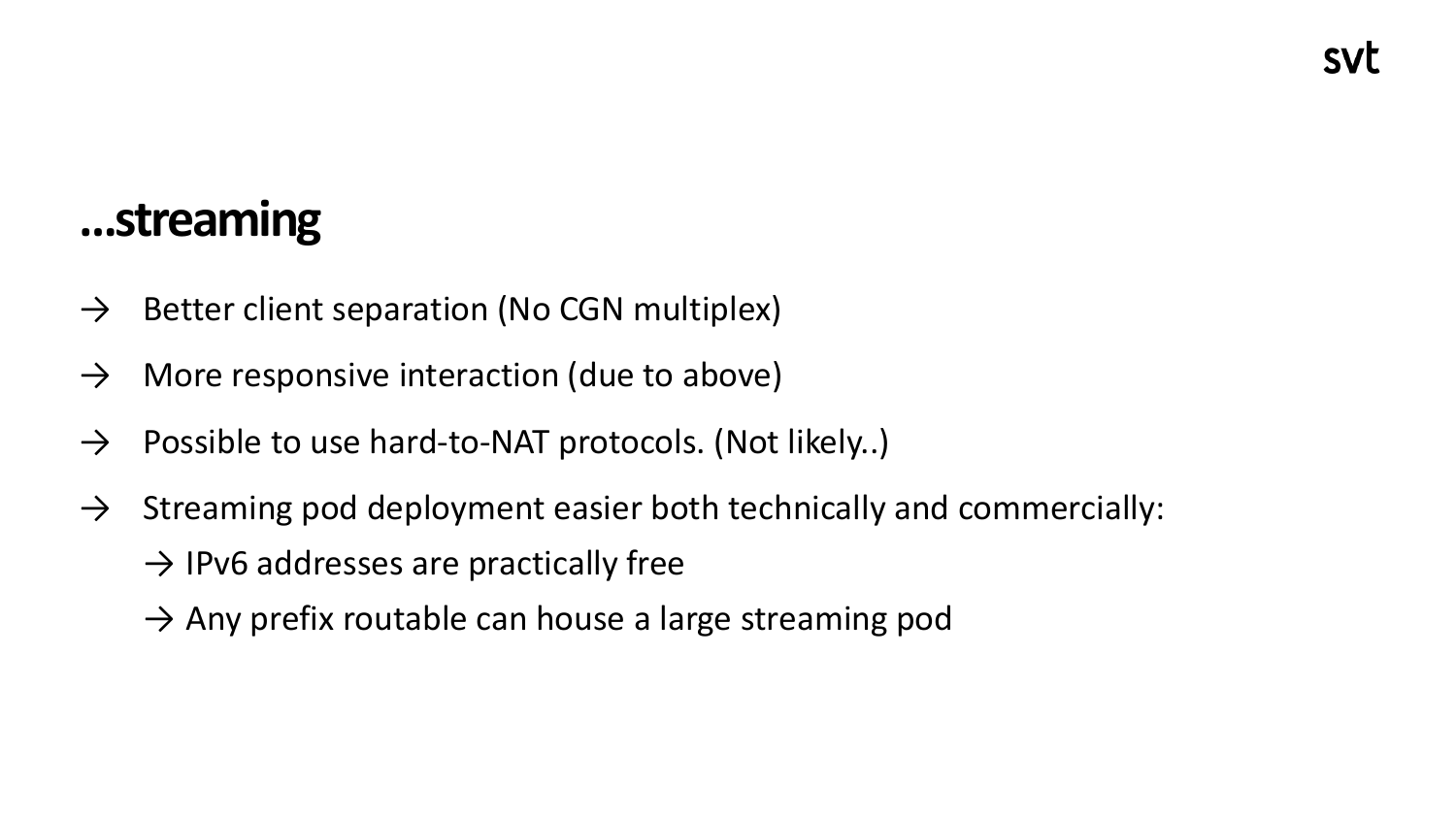#### **…streaming**

- $\rightarrow$  Better client separation (No CGN multiplex)
- $\rightarrow$  More responsive interaction (due to above)
- $\rightarrow$  Possible to use hard-to-NAT protocols. (Not likely..)
- $\rightarrow$  Streaming pod deployment easier both technically and commercially:
	- $\rightarrow$  IPv6 addresses are practically free
	- $\rightarrow$  Any prefix routable can house a large streaming pod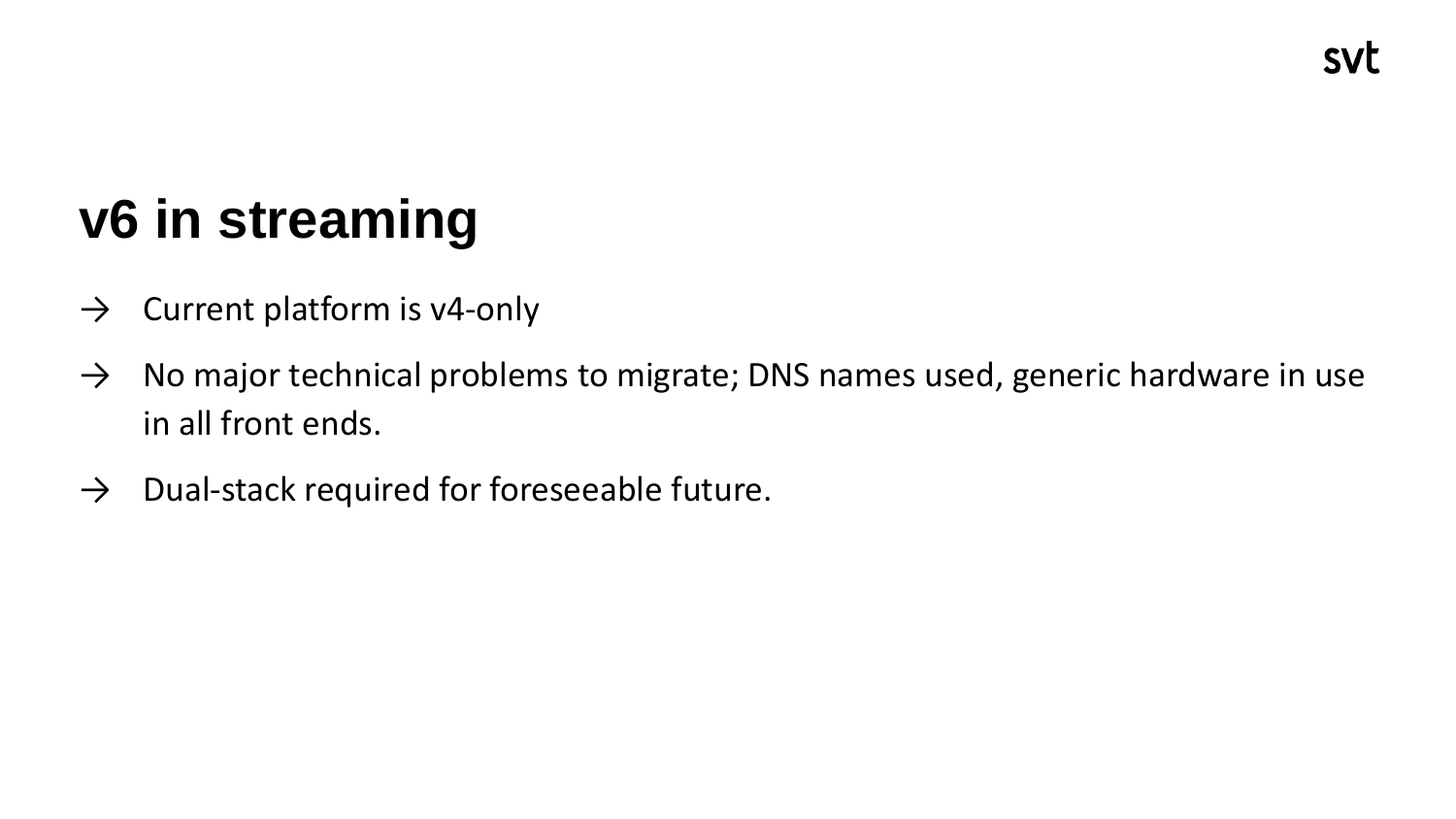# **v6 in streaming**

- $\rightarrow$  Current platform is v4-only
- $\rightarrow$  No major technical problems to migrate; DNS names used, generic hardware in use in all front ends.
- $\rightarrow$  Dual-stack required for foreseeable future.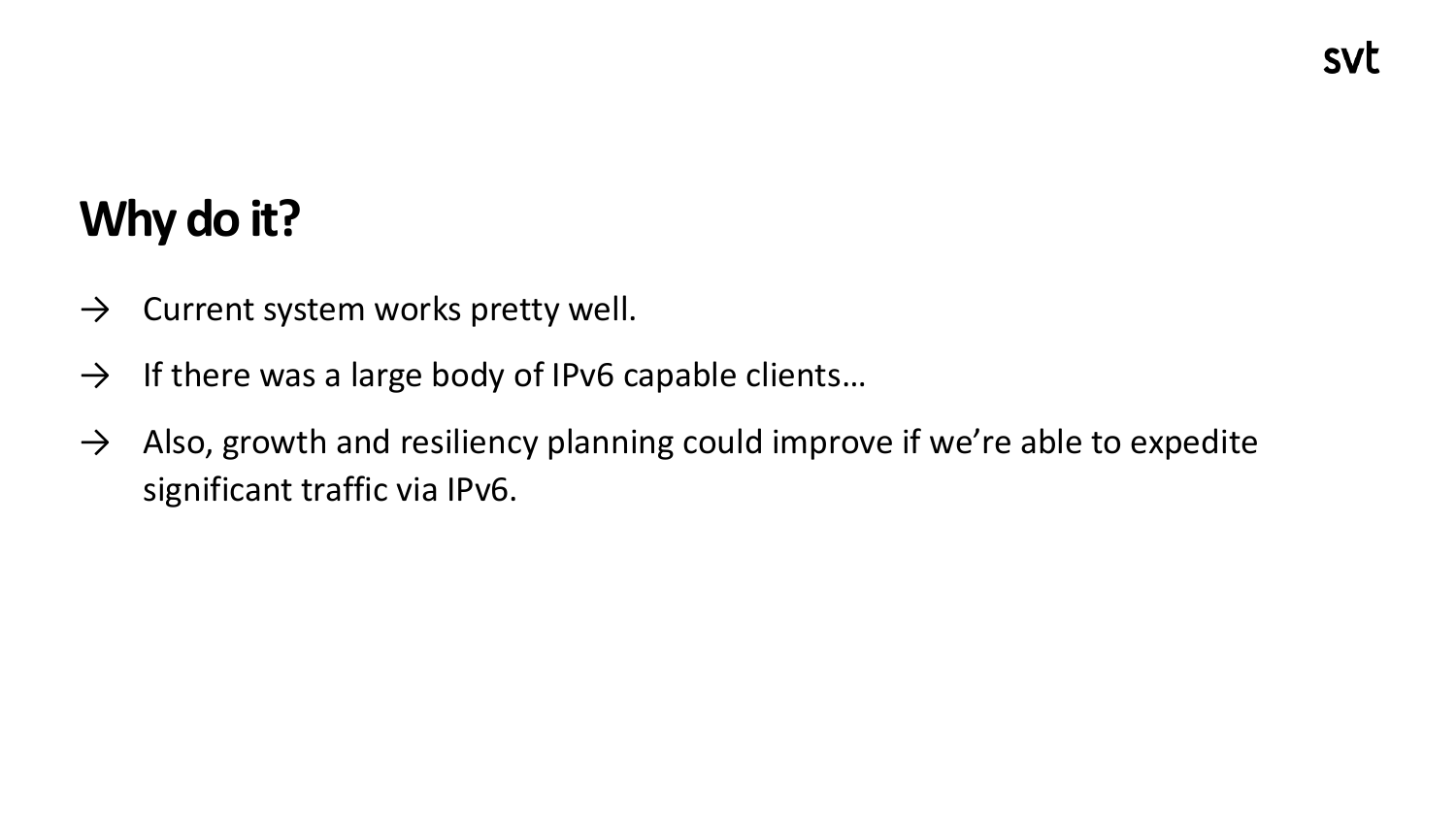# **Why do it?**

- $\rightarrow$  Current system works pretty well.
- $\rightarrow$  If there was a large body of IPv6 capable clients...
- $\rightarrow$  Also, growth and resiliency planning could improve if we're able to expedite significant traffic via IPv6.